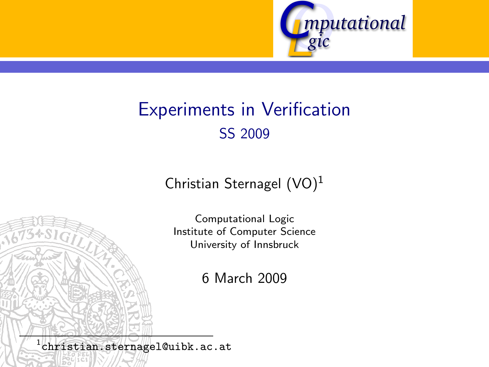

# Experiments in Verification SS 2009

Christian Sternagel  $(VO)^1$ 

Computational Logic Institute of Computer Science University of Innsbruck

6 March 2009

<span id="page-0-0"></span> $^{\rm 1}$ christian.sternagel@uibk.ac.at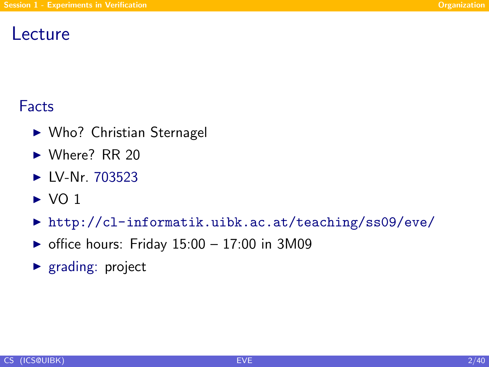## Lecture

## Facts

- $\triangleright$  Who? Christian Sternagel
- $\blacktriangleright$  Where? RR 20
- $\blacktriangleright$  LV-Nr. [703523](http://orawww.uibk.ac.at/public_prod/owa/lfuonline_lv.details?sem_id_in=09S&lvnr_id_in=703523)
- $\triangleright$  VO 1
- ▶ <http://cl-informatik.uibk.ac.at/teaching/ss09/eve/>
- $\triangleright$  office hours: Friday 15:00 17:00 in 3M09
- <span id="page-1-0"></span> $\blacktriangleright$  [grading:](http://cl-informatik.uibk.ac.at/teaching/ss09/eve/grading.php) project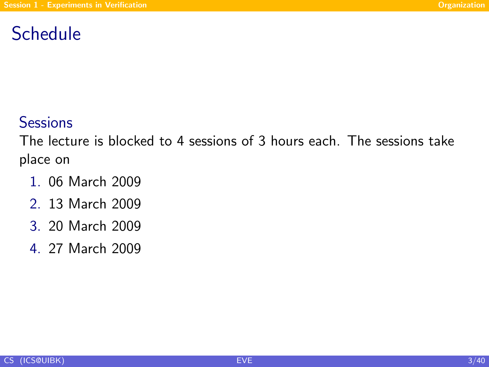## Schedule

### **Sessions**

The lecture is blocked to 4 sessions of 3 hours each. The sessions take place on

- 1. 06 March 2009
- 2. 13 March 2009
- 3. 20 March 2009
- 4. 27 March 2009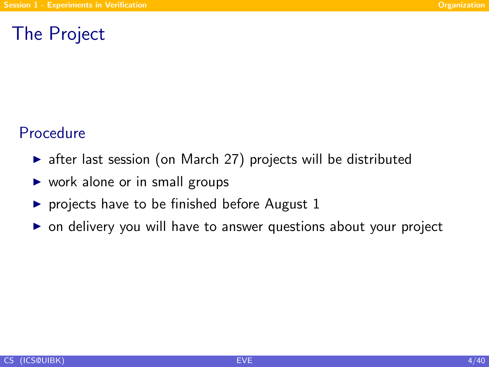## The Project

#### Procedure

- $\triangleright$  after last session (on March 27) projects will be distributed
- $\triangleright$  work alone or in small groups
- $\triangleright$  projects have to be finished before August 1
- $\triangleright$  on delivery you will have to answer questions about your project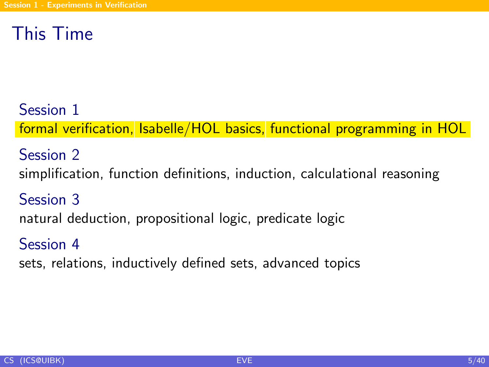## This Time

Session 1 formal verification, Isabelle/HOL basics, functional programming in HOL

Session 2 simplification, function definitions, induction, calculational reasoning Session 3

natural deduction, propositional logic, predicate logic

Session 4

sets, relations, inductively defined sets, advanced topics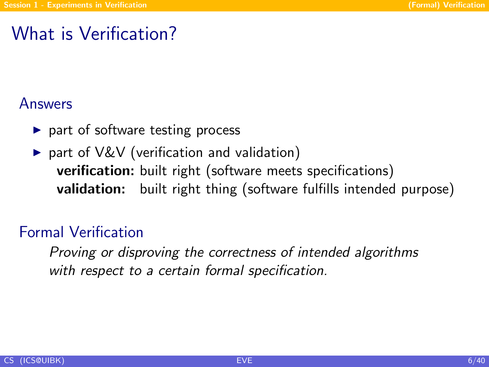## What is Verification?

#### Answers

- $\triangleright$  part of software testing process
- $\triangleright$  part of V&V (verification and validation) verification: built right (software meets specifications) validation: built right thing (software fulfills intended purpose)

#### Formal Verification

<span id="page-5-0"></span>Proving or disproving the correctness of intended algorithms with respect to a certain formal specification.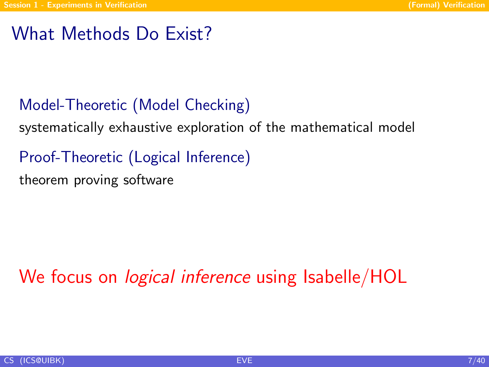## What Methods Do Exist?

## Model-Theoretic (Model Checking)

systematically exhaustive exploration of the mathematical model

Proof-Theoretic (Logical Inference) theorem proving software

We focus on *logical inference* using Isabelle/HOL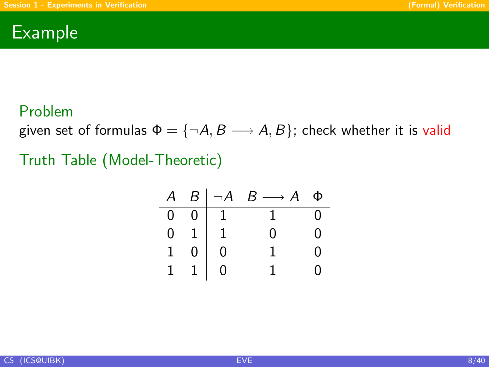### Example

#### Problem

given set of formulas  $\Phi = \{\neg A, B \longrightarrow A, B\}$ ; check whether it is valid

Truth Table (Model-Theoretic)

| $\mathcal{A}$  |                |                | $B \mid \neg A \quad B \longrightarrow A$ | Φ                 |
|----------------|----------------|----------------|-------------------------------------------|-------------------|
| $\overline{0}$ | 0 <sup>1</sup> | 1              |                                           | $\mathbf{\Omega}$ |
| $\overline{0}$ |                |                | O                                         | 0                 |
| $\overline{1}$ | $\bar{0}$      | $\overline{0}$ |                                           | ი                 |
| $\overline{1}$ |                | $\frac{1}{0}$  |                                           | O                 |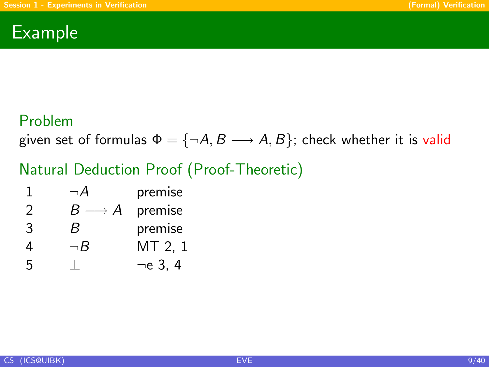### Example

#### Problem

given set of formulas  $\Phi = \{\neg A, B \longrightarrow A, B\}$ ; check whether it is valid

### Natural Deduction Proof (Proof-Theoretic)

| premise |
|---------|
|         |

- 2  $B \longrightarrow A$  premise
- 3 B premise
- 4  $\neg B$  MT 2, 1
- 5 ⊥ ¬e 3, 4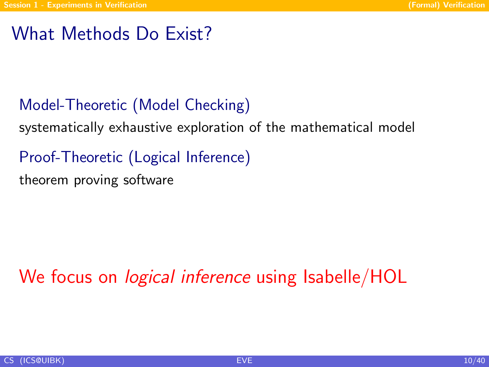## What Methods Do Exist?

## Model-Theoretic (Model Checking)

systematically exhaustive exploration of the mathematical model

Proof-Theoretic (Logical Inference) theorem proving software

We focus on *logical inference* using Isabelle/HOL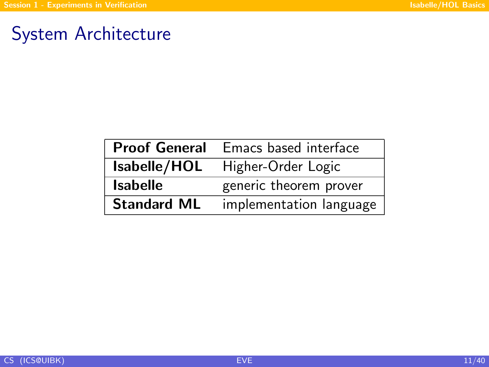## System Architecture

<span id="page-10-0"></span>

| <b>Proof General</b> | Emacs based interface   |
|----------------------|-------------------------|
| Isabelle/HOL         | Higher-Order Logic      |
| <b>Isabelle</b>      | generic theorem prover  |
| <b>Standard ML</b>   | implementation language |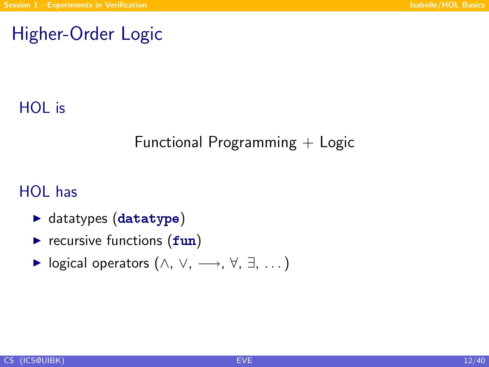## Higher-Order Logic

### HOL is

### Functional Programming  $+$  Logic

### HOL has

- $\blacktriangleright$  datatypes (datatype)
- $\triangleright$  recursive functions  $(fun)$
- $\triangleright$  logical operators  $(\wedge, \vee, \longrightarrow, \forall, \exists, ...)$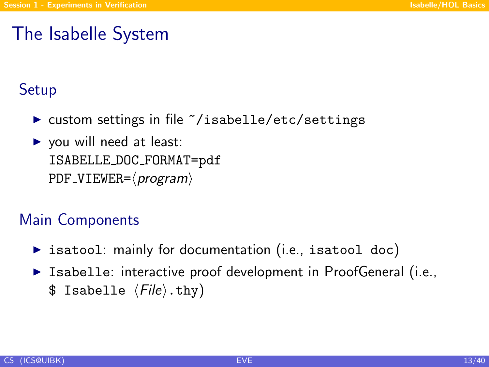## The Isabelle System

### **Setup**

- $\triangleright$  custom settings in file  $\tilde{\phantom{a}}$ /isabelle/etc/settings
- $\triangleright$  you will need at least: ISABELLE DOC FORMAT=pdf  $PDF$ \_VIEWER= $\langle program \rangle$

### Main Components

- $\triangleright$  isatool: mainly for documentation (i.e., isatool doc)
- $\triangleright$  Isabelle: interactive proof development in ProofGeneral (i.e., \$ Isabelle  $\langle File \rangle$ .thy)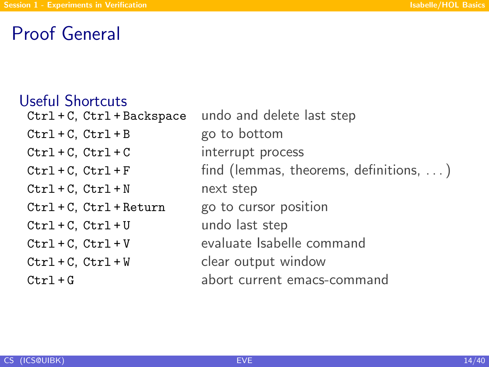## Proof General

#### Useful Shortcuts

Ctrl + C, Ctrl + Backspace undo and delete last step  $Ctrl + C, Ctrl + B$  go to bottom Ctrl + C, Ctrl + C interrupt process  $Ctrl + C, Ctr1 + F$  find (lemmas, theorems, definitions, ...)  $Ctrl + C, Ctr1 + N$  next step Ctrl + C, Ctrl + Return go to cursor position  $Ctrl + C, Ctrl + U$  undo last step Ctrl + C, Ctrl + V evaluate Isabelle command Ctrl + C, Ctrl + W clear output window Ctrl + G abort current emacs-command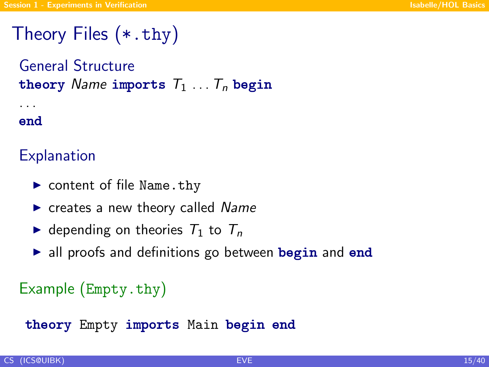# Theory Files (\*.thy)

General Structure theory Name imports  $T_1 \ldots T_n$  begin . . .

#### end

### **Explanation**

- $\triangleright$  content of file Name.thy
- $\triangleright$  creates a new theory called Name
- $\blacktriangleright$  depending on theories  $T_1$  to  $T_n$
- $\triangleright$  all proofs and definitions go between begin and end

### Example (Empty.thy)

theory Empty imports Main begin end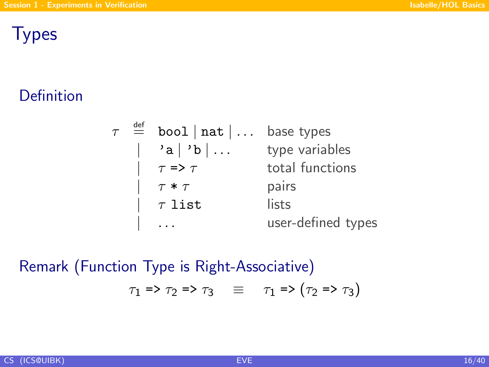### **Types**

### Definition

|  | $\tau \stackrel{\text{def}}{=} \text{bool} \mid \text{nat} \mid \dots$ base types |                    |
|--|-----------------------------------------------------------------------------------|--------------------|
|  | 'a   'b                                                                           | type variables     |
|  | $\left  \quad \tau \Rightarrow \tau \right $                                      | total functions    |
|  | $\tau * \tau$                                                                     | pairs              |
|  | $\begin{array}{cc} \sqrt{2} & \tau \end{array}$ list                              | lists              |
|  |                                                                                   | user-defined types |

Remark (Function Type is Right-Associative)  $\tau_1$  =>  $\tau_2$  =>  $\tau_3$   $\equiv$   $\tau_1$  =>  $(\tau_2$  =>  $\tau_3)$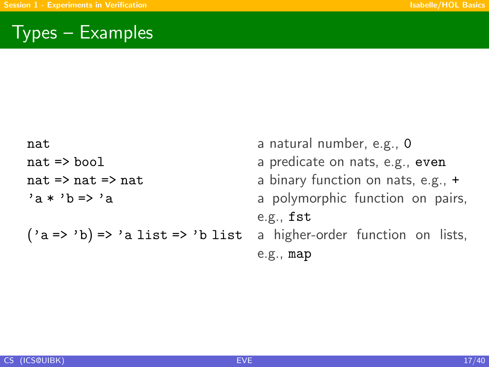## Types – Examples

| nat                              | a natural number, e.g., 0            |
|----------------------------------|--------------------------------------|
| nat => bool                      | a predicate on nats, e.g., even      |
| nat => nat => nat                | a binary function on nats, e.g., $+$ |
| $a * b \Rightarrow a$            | a polymorphic function on pairs,     |
|                                  | e.g., fst                            |
| ('a => 'b) => 'a list => 'b list | a higher-order function on lists,    |
|                                  | e.g., map                            |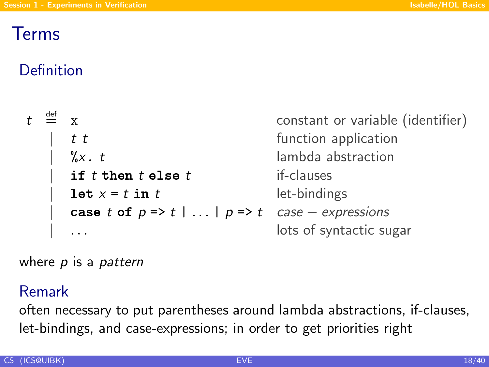## Terms

## Definition

| $t \stackrel{\text{def}}{=} x$ |                                                                           | constant or variable (identifier) |
|--------------------------------|---------------------------------------------------------------------------|-----------------------------------|
|                                | t t                                                                       | function application              |
|                                | $\int_{0}^{\infty} X \cdot t$                                             | lambda abstraction                |
|                                | if $t$ then $t$ else $t$                                                  | if-clauses                        |
|                                | let $x = t$ in t                                                          | let-bindings                      |
|                                | case t of $p \Rightarrow t \mid  \mid p \Rightarrow t$ case – expressions |                                   |
|                                |                                                                           | lots of syntactic sugar           |

where  $p$  is a pattern

#### Remark

often necessary to put parentheses around lambda abstractions, if-clauses, let-bindings, and case-expressions; in order to get priorities right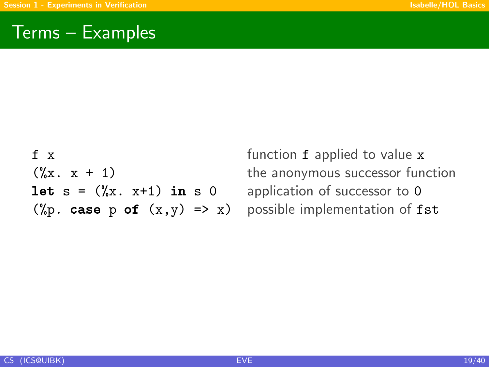### Terms – Examples

f x function f applied to value x **let**  $s = (\frac{0}{0}x, x+1)$  in s 0 application of successor to 0 (%p. case p of  $(x,y) \Rightarrow x$ ) possible implementation of fst

 $(\frac{9}{6}x \cdot x + 1)$  the anonymous successor function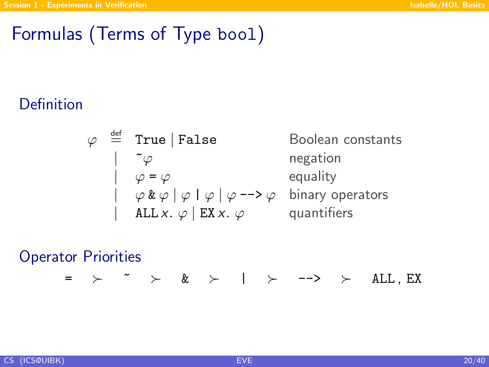## Formulas (Terms of Type bool)

### Definition

$$
\varphi \stackrel{\text{def}}{=} \text{True} | \text{False} \qquad \text{B}
$$
\n
$$
| \quad \tilde{\varphi} \quad \text{ne}
$$
\n
$$
| \quad \varphi = \varphi \quad \text{etc}
$$
\n
$$
| \quad \varphi \& \varphi | \varphi | \varphi | \varphi \text{--} \varphi \quad \text{bi}
$$
\n
$$
| \quad \text{ALL } x. \varphi | \text{ EX } x. \varphi \quad \text{quark}
$$

oolean constants egation quality nary operators uantifiers

#### Operator Priorities

 $=$   $>$   $\sim$   $\ge$   $\&$   $>$  |  $>$  -->  $>$  ALL, EX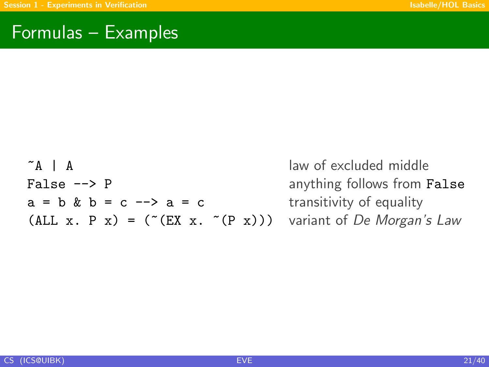### Formulas – Examples

~A | A law of excluded middle False --> P anything follows from False  $a = b$  &  $b = c \rightarrow a = c$  transitivity of equality (ALL x. P x) = ( $(CEX \times C(P \times))$ ) variant of De Morgan's Law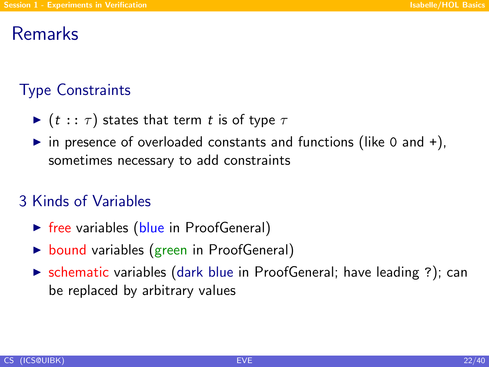### Remarks

## Type Constraints

- $\blacktriangleright$  (t ::  $\tau$ ) states that term t is of type  $\tau$
- in presence of overloaded constants and functions (like 0 and  $+$ ), sometimes necessary to add constraints

### 3 Kinds of Variables

- $\triangleright$  free variables (blue in ProofGeneral)
- $\triangleright$  bound variables (green in ProofGeneral)
- $\triangleright$  schematic variables (dark blue in ProofGeneral; have leading ?); can be replaced by arbitrary values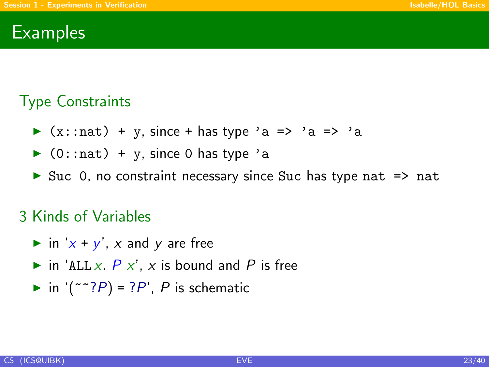### **Examples**

### Type Constraints

- $\triangleright$  (x::nat) + y, since + has type 'a => 'a => 'a
- $\triangleright$  (0::nat) + y, since 0 has type 'a
- $\triangleright$  Suc 0, no constraint necessary since Suc has type nat  $\Rightarrow$  nat

#### 3 Kinds of Variables

- in 'x + y', x and y are free
- in 'ALL x,  $P$  x', x is bound and P is free
- in  $('~~?P) = ?P'$ , P is schematic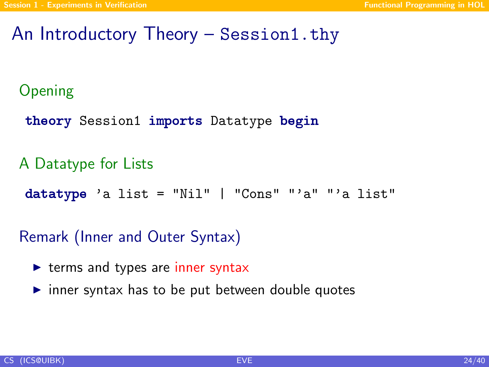### An Introductory Theory – Session1.thy

#### Opening

theory Session1 imports Datatype begin

A Datatype for Lists

 $datatype$  'a list = "Nil" | "Cons" "'a" "'a list"

Remark (Inner and Outer Syntax)

- $\triangleright$  terms and types are inner syntax
- <span id="page-23-0"></span> $\triangleright$  inner syntax has to be put between double quotes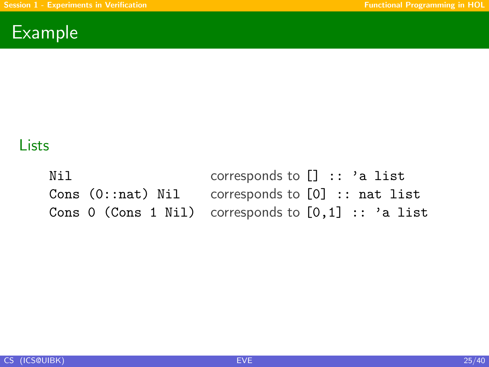

### **Lists**

Nil corresponds to [] :: 'a list Cons (0::nat) Nil corresponds to [0] :: nat list Cons 0 (Cons 1 Nil) corresponds to  $[0,1]$  :: 'a list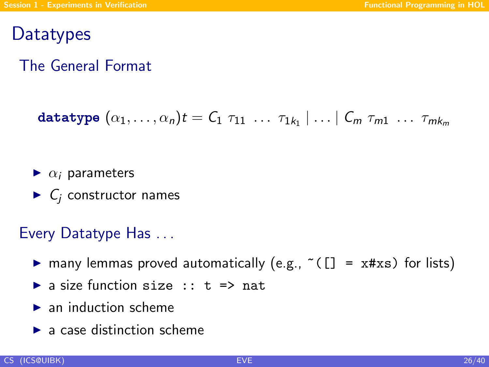### **Datatypes**

### The General Format

$$
\mathtt{datatype}\ (\alpha_1,\ldots,\alpha_n)t=C_1\ \tau_{11}\ \ldots\ \tau_{1k_1}\ |\ldots\ |\ C_m\ \tau_{m1}\ \ldots\ \tau_{mk_m}
$$

- $\blacktriangleright$   $\alpha_i$  parameters
- $\blacktriangleright$  C<sub>i</sub> constructor names

#### Every Datatype Has . . .

- $\triangleright$  many lemmas proved automatically (e.g., ~( $[] = x#xs$ ) for lists)
- $\triangleright$  a size function size :: t => nat
- $\blacktriangleright$  an induction scheme
- $\blacktriangleright$  a case distinction scheme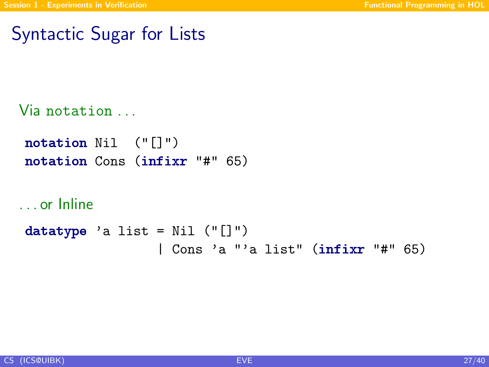## Syntactic Sugar for Lists

```
Via notation . . .
```

```
notation Nil ("[]")
notation Cons (infixr "#" 65)
```

```
. . . or Inline
```

```
datatype 'a list = Nil ("[]")
                 | Cons 'a "'a list" (infixr "#" 65)
```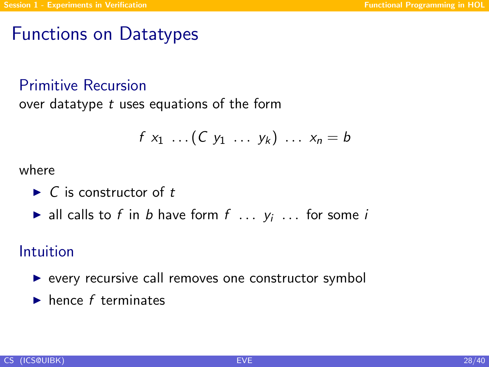## Functions on Datatypes

#### Primitive Recursion

over datatype t uses equations of the form

$$
f x_1 \ldots (C y_1 \ldots y_k) \ldots x_n = b
$$

where

- $\blacktriangleright$  C is constructor of t
- ightharpoontalleright all calls to f in b have form  $f \ldots y_i \ldots$  for some i

#### Intuition

- $\triangleright$  every recursive call removes one constructor symbol
- $\blacktriangleright$  hence f terminates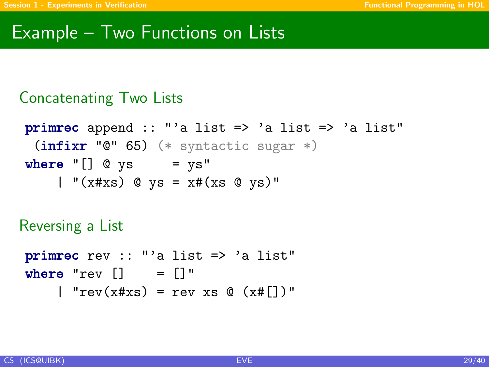### Example – Two Functions on Lists

#### Concatenating Two Lists

```
primrec append :: "'a list => 'a list => 'a list"
 (intir "0" 65) (* syntactic sugar *)
where "[] @ys = ys"| "(x \# xs) @ ys = x \# (xs \ @ \ ys)'"
```
Reversing a List

```
primrec rev :: "'a list => 'a list"
where "rev \begin{bmatrix} 1 \\ 2 \end{bmatrix} = \begin{bmatrix} 1 \\ 2 \end{bmatrix}"
       | "rev(x#xs) = rev xs @ (x#[])"
```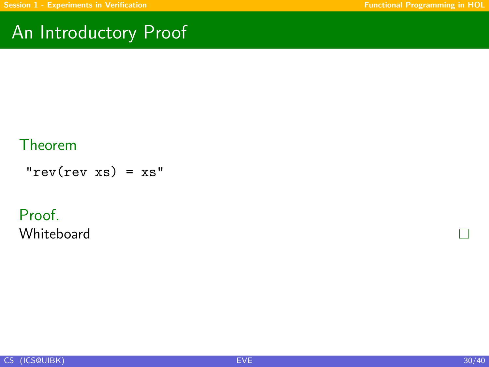## An Introductory Proof

#### Theorem

 $"rev(rev xs) = xs"$ 

#### Proof. Whiteboard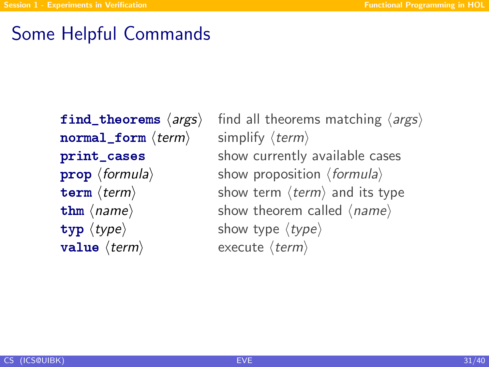## Some Helpful Commands

normal form  $\langle term \rangle$  simplify  $\langle term \rangle$  $\langle \text{type} \rangle$  show type  $\langle \text{type} \rangle$ **value**  $\langle term \rangle$  execute  $\langle term \rangle$ 

find\_theorems  $\langle \text{args} \rangle$  find all theorems matching  $\langle \text{args} \rangle$ **print\_cases** show currently available cases **prop**  $\langle$  formula $\rangle$  show proposition  $\langle$  formula $\rangle$ **term**  $\langle \text{term} \rangle$  show term  $\langle \text{term} \rangle$  and its type **thm**  $\langle name \rangle$  show theorem called  $\langle name \rangle$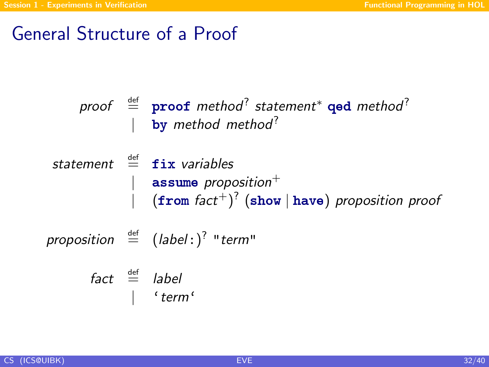## General Structure of a Proof

$$
\begin{array}{rcl}\n\text{proof} & \stackrel{\text{def}}{=} & \text{proof method}^? \text{ statement}^* \text{ qed method}^? \\
& | & \text{by method method}^? \\
\end{array}
$$

```
\nstatement 
$$
\stackrel{\text{def}}{=} \text{fix variables}
$$
\n    | assume proposition+\n    | (from fact+)? (show | have) proposition proof\n
```

proposition  $\stackrel{\text{def}}{=}$   $(label: )^?$  "term"

$$
\begin{array}{rcl}\n\text{fact} & \stackrel{\text{def}}{=} & \text{label} \\
 & | & \text{'term'}\n\end{array}
$$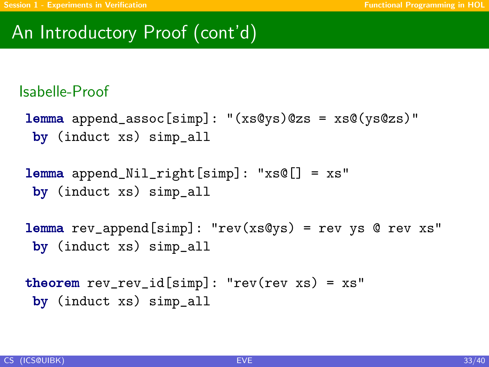## An Introductory Proof (cont'd)

#### Isabelle-Proof

- $l$ emma append\_assoc[simp]: "(xs@ys)@zs = xs@(ys@zs)" by (induct xs) simp\_all
- lemma append\_Nil\_right[simp]: "xs@[] = xs" by (induct xs) simp\_all

```
lemma rev_append[simp]: "rev(xs@ys) = rev ys @ rev xs"
by (induct xs) simp_all
```

```
theorem rev\_rev\_id[simp]: "rev(rev xs) = xs"
 by (induct xs) simp_all
```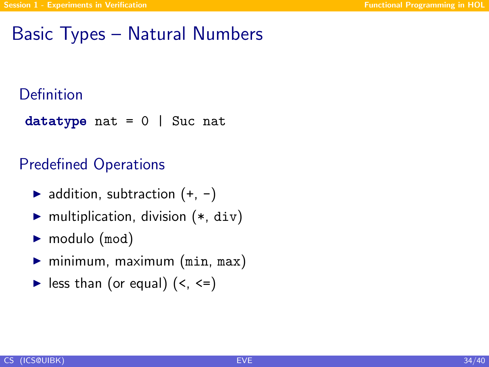## Basic Types – Natural Numbers

#### Definition

datatype nat =  $0$  | Suc nat

#### Predefined Operations

- $\blacktriangleright$  addition, subtraction  $(+, -)$
- $\blacktriangleright$  multiplication, division  $(*, div)$
- $\blacktriangleright$  modulo (mod)
- $\blacktriangleright$  minimum, maximum (min, max)
- $\blacktriangleright$  less than (or equal) (<, <=)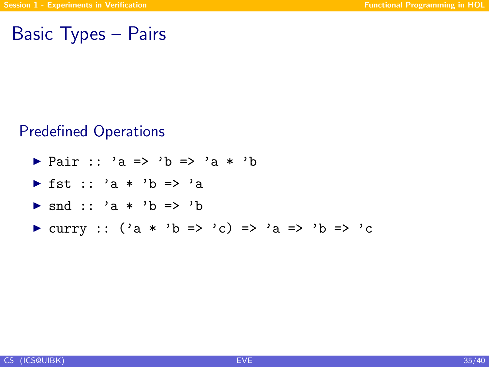### Basic Types – Pairs

#### Predefined Operations

<sup>I</sup> Pair :: 'a => 'b => 'a \* 'b <sup>I</sup> fst :: 'a \* 'b => 'a <sup>I</sup> snd :: 'a \* 'b => 'b <sup>I</sup> curry :: ('a \* 'b => 'c) => 'a => 'b => 'c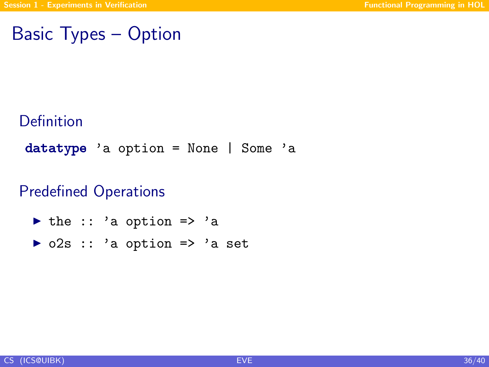## Basic Types – Option

### Definition

datatype 'a option = None | Some 'a

### Predefined Operations

- $\triangleright$  the :: 'a option => 'a
- $\triangleright$  o2s :: 'a option => 'a set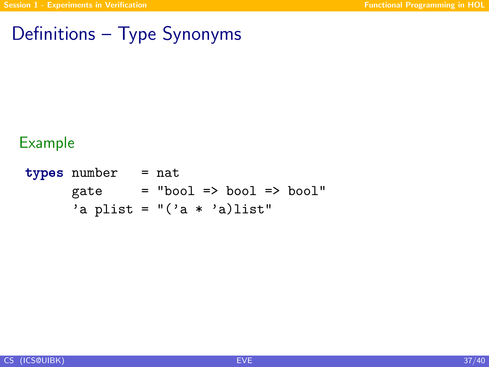## Definitions – Type Synonyms

#### Example

types number = nat  $gate$  = "bool => bool => bool" 'a plist =  $"('a * 'a)$ list"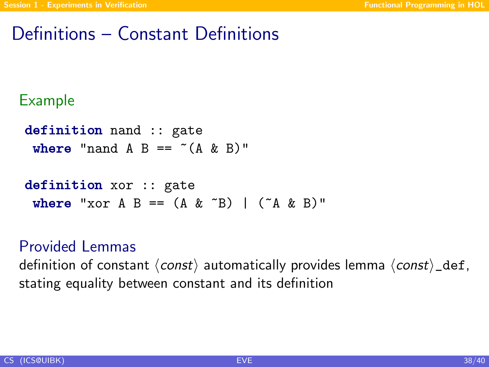## Definitions – Constant Definitions

#### Example

```
definition nand :: gate
 where "nand A B == *(A \& B)"
```

```
definition xor :: gate
 where "xor A B == (A \& \n~^nB) | (^nA \& B)"
```
#### Provided Lemmas

definition of constant  $\langle const \rangle$  automatically provides lemma  $\langle const \rangle$  def, stating equality between constant and its definition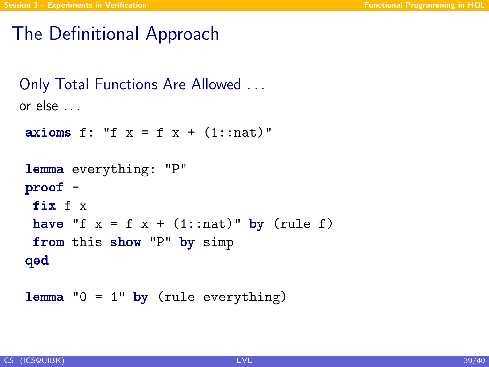## The Definitional Approach

```
Only Total Functions Are Allowed . . .
or else . . .
```

```
axioms f: "f x = f x + (1::nat)"lemma everything: "P"
proof -
 fix f x
 have "f x = f x + (1::nat)" by (rule f)
 from this show "P" by simp
qed
```
**lemma**  $"0 = 1"$  by (rule everything)